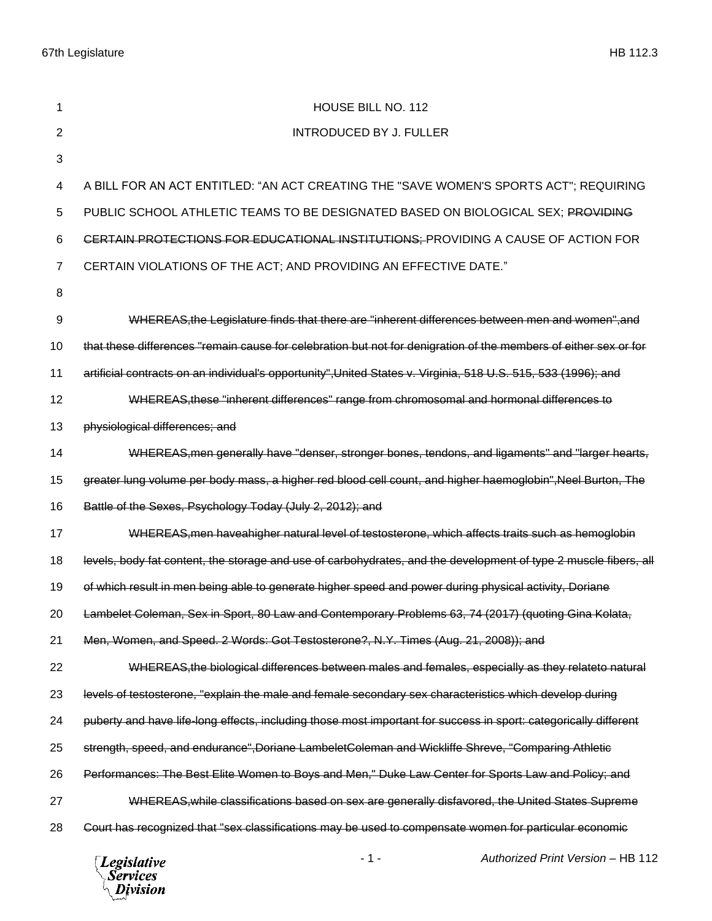67th Legislature HB 112.3

| 1              | HOUSE BILL NO. 112                                                                                               |
|----------------|------------------------------------------------------------------------------------------------------------------|
| $\overline{2}$ | <b>INTRODUCED BY J. FULLER</b>                                                                                   |
| 3              |                                                                                                                  |
| 4              | A BILL FOR AN ACT ENTITLED: "AN ACT CREATING THE "SAVE WOMEN'S SPORTS ACT"; REQUIRING                            |
| 5              | PUBLIC SCHOOL ATHLETIC TEAMS TO BE DESIGNATED BASED ON BIOLOGICAL SEX; PROVIDING                                 |
| 6              | CERTAIN PROTECTIONS FOR EDUCATIONAL INSTITUTIONS: PROVIDING A CAUSE OF ACTION FOR                                |
| $\overline{7}$ | CERTAIN VIOLATIONS OF THE ACT; AND PROVIDING AN EFFECTIVE DATE."                                                 |
| 8              |                                                                                                                  |
| 9              | WHEREAS, the Legislature finds that there are "inherent differences between men and women", and                  |
| 10             | that these differences "remain cause for celebration but not for denigration of the members of either sex or for |
| 11             | artificial contracts on an individual's opportunity", United States v. Virginia, 518 U.S. 515, 533 (1996); and   |
| 12             | WHEREAS, these "inherent differences" range from chromosomal and hormonal differences to                         |
| 13             | physiological differences; and                                                                                   |
| 14             | WHEREAS, men generally have "denser, stronger bones, tendons, and ligaments" and "larger hearts,                 |
| 15             | greater lung volume per body mass, a higher red blood cell count, and higher haemoglobin", Neel Burton, The      |
| 16             | Battle of the Sexes, Psychology Today (July 2, 2012); and                                                        |
| 17             | WHEREAS, men have a higher natural level of testosterone, which affects traits such as hemoglobin                |
| 18             | levels, body fat content, the storage and use of carbohydrates, and the development of type 2 muscle fibers, all |
| 19             | of which result in men being able to generate higher speed and power during physical activity, Doriane           |
| 20             | Lambelet Coleman, Sex in Sport, 80 Law and Contemporary Problems 63, 74 (2017) (quoting Gina Kolata,             |
| 21             | Men, Women, and Speed. 2 Words: Got Testosterone?, N.Y. Times (Aug. 21, 2008)); and                              |
| 22             | WHEREAS, the biological differences between males and females, especially as they relateto natural               |
| 23             | levels of testosterone, "explain the male and female secondary sex characteristics which develop during          |
| 24             | puberty and have life-long effects, including those most important for success in sport: categorically different |
| 25             | strength, speed, and endurance", Doriane Lambelet Coleman and Wickliffe Shreve, "Comparing Athletic              |
| 26             | Performances: The Best Elite Women to Boys and Men," Duke Law Center for Sports Law and Policy; and              |
| 27             | WHEREAS, while classifications based on sex are generally disfavored, the United States Supreme                  |
| 28             | Court has recognized that "sex classifications may be used to compensate women for particular economic           |
|                | rod Drint <i>Morpion</i> UD 440                                                                                  |

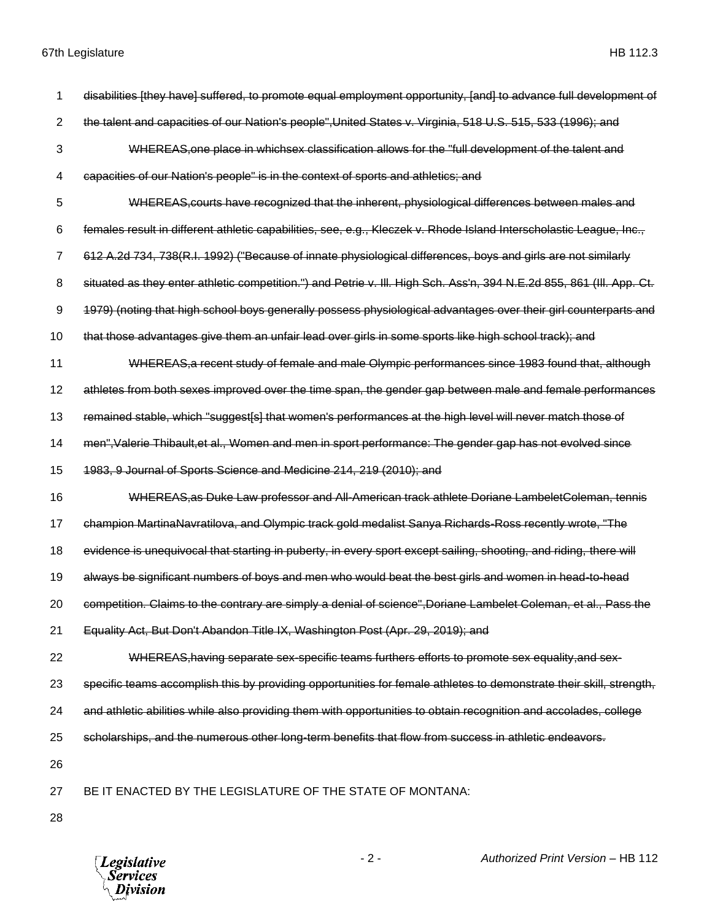- disabilities [they have] suffered, to promote equal employment opportunity, [and] to advance full development of the talent and capacities of our Nation's people",United States v. Virginia, 518 U.S. 515, 533 (1996); and WHEREAS,one place in whichsex classification allows for the "full development of the talent and capacities of our Nation's people" is in the context of sports and athletics; and WHEREAS,courts have recognized that the inherent, physiological differences between males and females result in different athletic capabilities, see, e.g., Kleczek v. Rhode Island Interscholastic League, Inc., 612 A.2d 734, 738(R.I. 1992) ("Because of innate physiological differences, boys and girls are not similarly 8 situated as they enter athletic competition.") and Petrie v. III. High Sch. Ass'n, 394 N.E.2d 855, 861 (III. App. Ct. 1979) (noting that high school boys generally possess physiological advantages over their girl counterparts and that those advantages give them an unfair lead over girls in some sports like high school track); and WHEREAS,a recent study of female and male Olympic performances since 1983 found that, although athletes from both sexes improved over the time span, the gender gap between male and female performances 13 remained stable, which "suggest[s] that women's performances at the high level will never match those of men",Valerie Thibault,et al., Women and men in sport performance: The gender gap has not evolved since 1983, 9 Journal of Sports Science and Medicine 214, 219 (2010); and WHEREAS,as Duke Law professor and All-American track athlete Doriane LambeletColeman, tennis champion MartinaNavratilova, and Olympic track gold medalist Sanya Richards-Ross recently wrote, "The 18 evidence is unequivocal that starting in puberty, in every sport except sailing, shooting, and riding, there will always be significant numbers of boys and men who would beat the best girls and women in head-to-head 20 competition. Claims to the contrary are simply a denial of science", Doriane Lambelet Coleman, et al., Pass the Equality Act, But Don't Abandon Title IX, Washington Post (Apr. 29, 2019); and 22 WHEREAS, having separate sex-specific teams furthers efforts to promote sex equality, and sex- specific teams accomplish this by providing opportunities for female athletes to demonstrate their skill, strength, and athletic abilities while also providing them with opportunities to obtain recognition and accolades, college scholarships, and the numerous other long-term benefits that flow from success in athletic endeavors. BE IT ENACTED BY THE LEGISLATURE OF THE STATE OF MONTANA:
- 

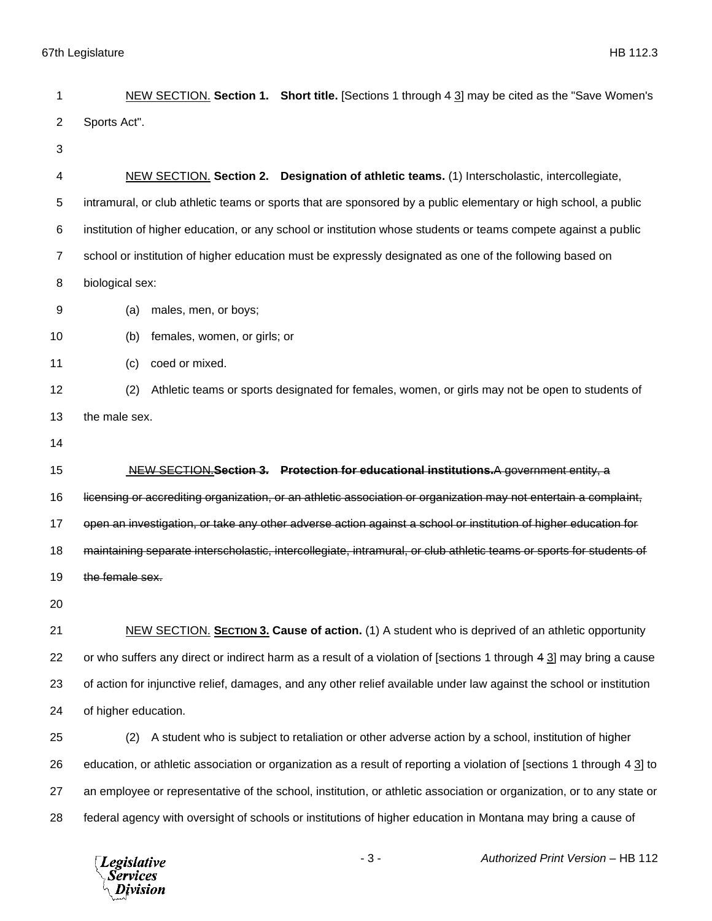| 1  | NEW SECTION. Section 1. Short title. [Sections 1 through 4 3] may be cited as the "Save Women's                        |
|----|------------------------------------------------------------------------------------------------------------------------|
| 2  | Sports Act".                                                                                                           |
| 3  |                                                                                                                        |
| 4  | NEW SECTION. Section 2. Designation of athletic teams. (1) Interscholastic, intercollegiate,                           |
| 5  | intramural, or club athletic teams or sports that are sponsored by a public elementary or high school, a public        |
| 6  | institution of higher education, or any school or institution whose students or teams compete against a public         |
| 7  | school or institution of higher education must be expressly designated as one of the following based on                |
| 8  | biological sex:                                                                                                        |
| 9  | males, men, or boys;<br>(a)                                                                                            |
| 10 | females, women, or girls; or<br>(b)                                                                                    |
| 11 | coed or mixed.<br>(c)                                                                                                  |
| 12 | Athletic teams or sports designated for females, women, or girls may not be open to students of<br>(2)                 |
| 13 | the male sex.                                                                                                          |
| 14 |                                                                                                                        |
| 15 | NEW SECTION.Section 3. Protection for educational institutions.A government entity, a                                  |
| 16 | licensing or accrediting organization, or an athletic association or organization may not entertain a complaint,       |
| 17 | open an investigation, or take any other adverse action against a school or institution of higher education for        |
| 18 | maintaining separate interscholastic, intercollegiate, intramural, or club athletic teams or sports for students of    |
| 19 | the female sex.                                                                                                        |
| 20 |                                                                                                                        |
| 21 | NEW SECTION. SECTION 3. Cause of action. (1) A student who is deprived of an athletic opportunity                      |
| 22 | or who suffers any direct or indirect harm as a result of a violation of [sections 1 through 4 3] may bring a cause    |
| 23 | of action for injunctive relief, damages, and any other relief available under law against the school or institution   |
| 24 | of higher education.                                                                                                   |
| 25 | A student who is subject to retaliation or other adverse action by a school, institution of higher<br>(2)              |
| 26 | education, or athletic association or organization as a result of reporting a violation of [sections 1 through 4 3] to |
| 27 | an employee or representative of the school, institution, or athletic association or organization, or to any state or  |
| 28 | federal agency with oversight of schools or institutions of higher education in Montana may bring a cause of           |